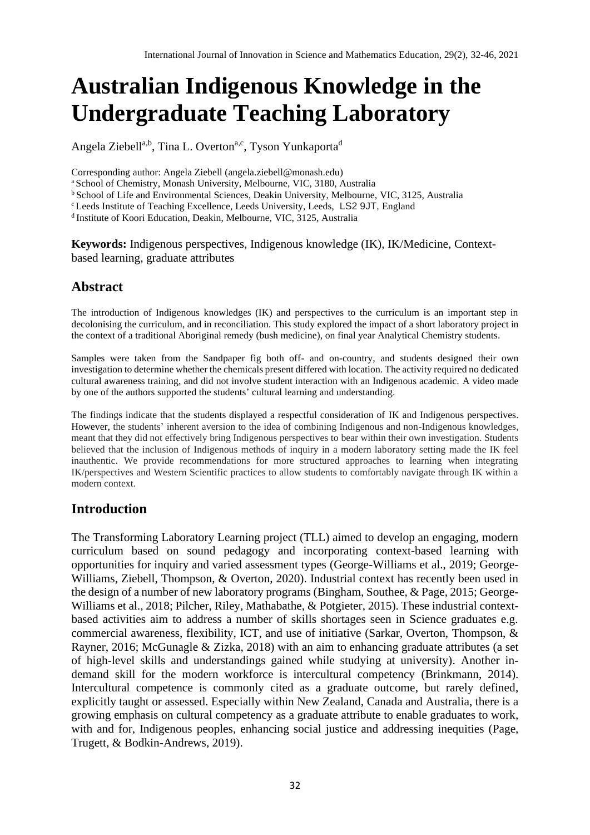# **Australian Indigenous Knowledge in the Undergraduate Teaching Laboratory**

Angela Ziebell<sup>a,b</sup>, Tina L. Overton<sup>a,c</sup>, Tyson Yunkaporta<sup>d</sup>

Corresponding author: Angela Ziebell (angela.ziebell@monash.edu)

<sup>a</sup> School of Chemistry, Monash University, Melbourne, VIC, 3180, Australia

<sup>b</sup> School of Life and Environmental Sciences, Deakin University, Melbourne, VIC, 3125, Australia

<sup>c</sup> Leeds Institute of Teaching Excellence, Leeds University, Leeds, LS2 9JT, England

d Institute of Koori Education, Deakin, Melbourne, VIC, 3125, Australia

**Keywords:** Indigenous perspectives, Indigenous knowledge (IK), IK/Medicine, Contextbased learning, graduate attributes

# **Abstract**

The introduction of Indigenous knowledges (IK) and perspectives to the curriculum is an important step in decolonising the curriculum, and in reconciliation. This study explored the impact of a short laboratory project in the context of a traditional Aboriginal remedy (bush medicine), on final year Analytical Chemistry students.

Samples were taken from the Sandpaper fig both off- and on-country, and students designed their own investigation to determine whether the chemicals present differed with location. The activity required no dedicated cultural awareness training, and did not involve student interaction with an Indigenous academic. A video made by one of the authors supported the students' cultural learning and understanding.

The findings indicate that the students displayed a respectful consideration of IK and Indigenous perspectives. However, the students' inherent aversion to the idea of combining Indigenous and non-Indigenous knowledges, meant that they did not effectively bring Indigenous perspectives to bear within their own investigation. Students believed that the inclusion of Indigenous methods of inquiry in a modern laboratory setting made the IK feel inauthentic. We provide recommendations for more structured approaches to learning when integrating IK/perspectives and Western Scientific practices to allow students to comfortably navigate through IK within a modern context.

# **Introduction**

The Transforming Laboratory Learning project (TLL) aimed to develop an engaging, modern curriculum based on sound pedagogy and incorporating context-based learning with opportunities for inquiry and varied assessment types (George-Williams et al., 2019; George-Williams, Ziebell, Thompson, & Overton, 2020). Industrial context has recently been used in the design of a number of new laboratory programs (Bingham, Southee, & Page, 2015; George-Williams et al., 2018; Pilcher, Riley, Mathabathe, & Potgieter, 2015). These industrial contextbased activities aim to address a number of skills shortages seen in Science graduates e.g. commercial awareness, flexibility, ICT, and use of initiative (Sarkar, Overton, Thompson, & Rayner, 2016; McGunagle & Zizka, 2018) with an aim to enhancing graduate attributes (a set of high-level skills and understandings gained while studying at university). Another indemand skill for the modern workforce is intercultural competency (Brinkmann, 2014). Intercultural competence is commonly cited as a graduate outcome, but rarely defined, explicitly taught or assessed. Especially within New Zealand, Canada and Australia, there is a growing emphasis on cultural competency as a graduate attribute to enable graduates to work, with and for, Indigenous peoples, enhancing social justice and addressing inequities (Page, Trugett, & Bodkin-Andrews, 2019).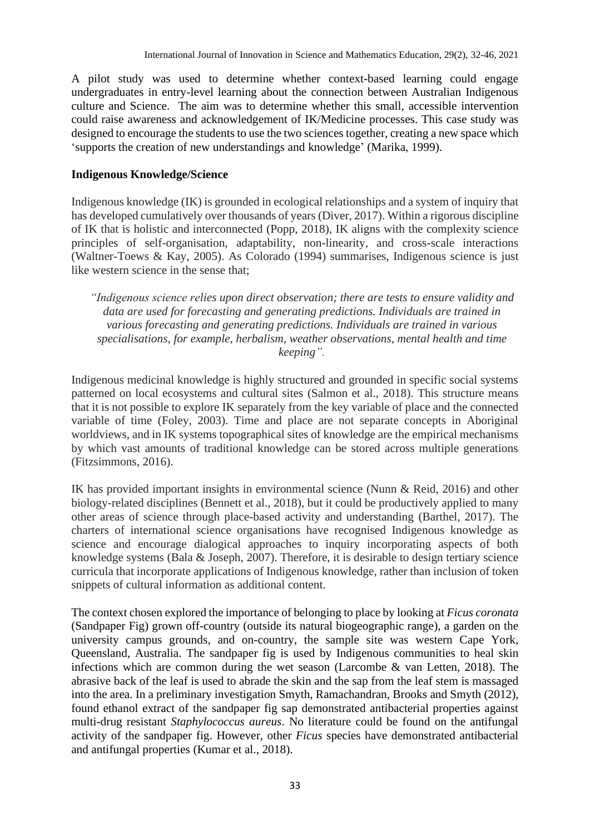A pilot study was used to determine whether context-based learning could engage undergraduates in entry-level learning about the connection between Australian Indigenous culture and Science. The aim was to determine whether this small, accessible intervention could raise awareness and acknowledgement of IK/Medicine processes. This case study was designed to encourage the students to use the two sciences together, creating a new space which 'supports the creation of new understandings and knowledge' (Marika, 1999).

### **Indigenous Knowledge/Science**

Indigenous knowledge (IK) is grounded in ecological relationships and a system of inquiry that has developed cumulatively over thousands of years (Diver, 2017). Within a rigorous discipline of IK that is holistic and interconnected (Popp, 2018), IK aligns with the complexity science principles of self-organisation, adaptability, non-linearity, and cross-scale interactions (Waltner-Toews & Kay, 2005). As Colorado (1994) summarises, Indigenous science is just like western science in the sense that;

*"Indigenous science relies upon direct observation; there are tests to ensure validity and data are used for forecasting and generating predictions. Individuals are trained in various forecasting and generating predictions. Individuals are trained in various specialisations, for example, herbalism, weather observations, mental health and time keeping".*

Indigenous medicinal knowledge is highly structured and grounded in specific social systems patterned on local ecosystems and cultural sites (Salmon et al., 2018). This structure means that it is not possible to explore IK separately from the key variable of place and the connected variable of time (Foley, 2003). Time and place are not separate concepts in Aboriginal worldviews, and in IK systems topographical sites of knowledge are the empirical mechanisms by which vast amounts of traditional knowledge can be stored across multiple generations (Fitzsimmons, 2016).

IK has provided important insights in environmental science (Nunn & Reid, 2016) and other biology-related disciplines (Bennett et al., 2018), but it could be productively applied to many other areas of science through place-based activity and understanding (Barthel, 2017). The charters of international science organisations have recognised Indigenous knowledge as science and encourage dialogical approaches to inquiry incorporating aspects of both knowledge systems (Bala & Joseph, 2007). Therefore, it is desirable to design tertiary science curricula that incorporate applications of Indigenous knowledge, rather than inclusion of token snippets of cultural information as additional content.

The context chosen explored the importance of belonging to place by looking at *Ficus coronata* (Sandpaper Fig) grown off-country (outside its natural biogeographic range), a garden on the university campus grounds, and on-country, the sample site was western Cape York, Queensland, Australia. The sandpaper fig is used by Indigenous communities to heal skin infections which are common during the wet season (Larcombe  $\&$  van Letten, 2018). The abrasive back of the leaf is used to abrade the skin and the sap from the leaf stem is massaged into the area. In a preliminary investigation Smyth, Ramachandran, Brooks and Smyth (2012), found ethanol extract of the sandpaper fig sap demonstrated antibacterial properties against multi-drug resistant *Staphylococcus aureus*. No literature could be found on the antifungal activity of the sandpaper fig. However, other *Ficus* species have demonstrated antibacterial and antifungal properties (Kumar et al., 2018).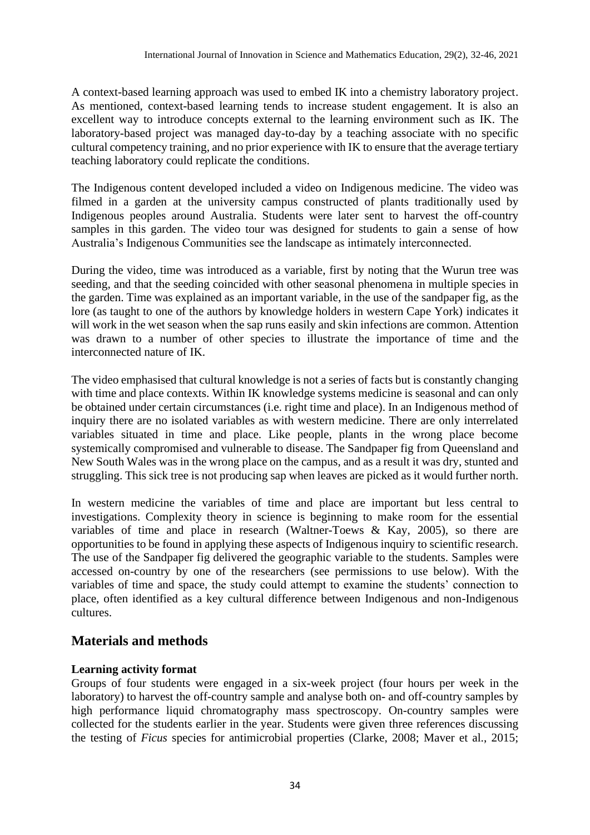A context-based learning approach was used to embed IK into a chemistry laboratory project. As mentioned, context-based learning tends to increase student engagement. It is also an excellent way to introduce concepts external to the learning environment such as IK. The laboratory-based project was managed day-to-day by a teaching associate with no specific cultural competency training, and no prior experience with IK to ensure that the average tertiary teaching laboratory could replicate the conditions.

The Indigenous content developed included a video on Indigenous medicine. The video was filmed in a garden at the university campus constructed of plants traditionally used by Indigenous peoples around Australia. Students were later sent to harvest the off-country samples in this garden. The video tour was designed for students to gain a sense of how Australia's Indigenous Communities see the landscape as intimately interconnected.

During the video, time was introduced as a variable, first by noting that the Wurun tree was seeding, and that the seeding coincided with other seasonal phenomena in multiple species in the garden. Time was explained as an important variable, in the use of the sandpaper fig, as the lore (as taught to one of the authors by knowledge holders in western Cape York) indicates it will work in the wet season when the sap runs easily and skin infections are common. Attention was drawn to a number of other species to illustrate the importance of time and the interconnected nature of IK.

The video emphasised that cultural knowledge is not a series of facts but is constantly changing with time and place contexts. Within IK knowledge systems medicine is seasonal and can only be obtained under certain circumstances (i.e. right time and place). In an Indigenous method of inquiry there are no isolated variables as with western medicine. There are only interrelated variables situated in time and place. Like people, plants in the wrong place become systemically compromised and vulnerable to disease. The Sandpaper fig from Queensland and New South Wales was in the wrong place on the campus, and as a result it was dry, stunted and struggling. This sick tree is not producing sap when leaves are picked as it would further north.

In western medicine the variables of time and place are important but less central to investigations. Complexity theory in science is beginning to make room for the essential variables of time and place in research (Waltner-Toews & Kay, 2005), so there are opportunities to be found in applying these aspects of Indigenous inquiry to scientific research. The use of the Sandpaper fig delivered the geographic variable to the students. Samples were accessed on-country by one of the researchers (see permissions to use below). With the variables of time and space, the study could attempt to examine the students' connection to place, often identified as a key cultural difference between Indigenous and non-Indigenous cultures.

# **Materials and methods**

#### **Learning activity format**

Groups of four students were engaged in a six-week project (four hours per week in the laboratory) to harvest the off-country sample and analyse both on- and off-country samples by high performance liquid chromatography mass spectroscopy. On-country samples were collected for the students earlier in the year. Students were given three references discussing the testing of *Ficus* species for antimicrobial properties (Clarke, 2008; Maver et al., 2015;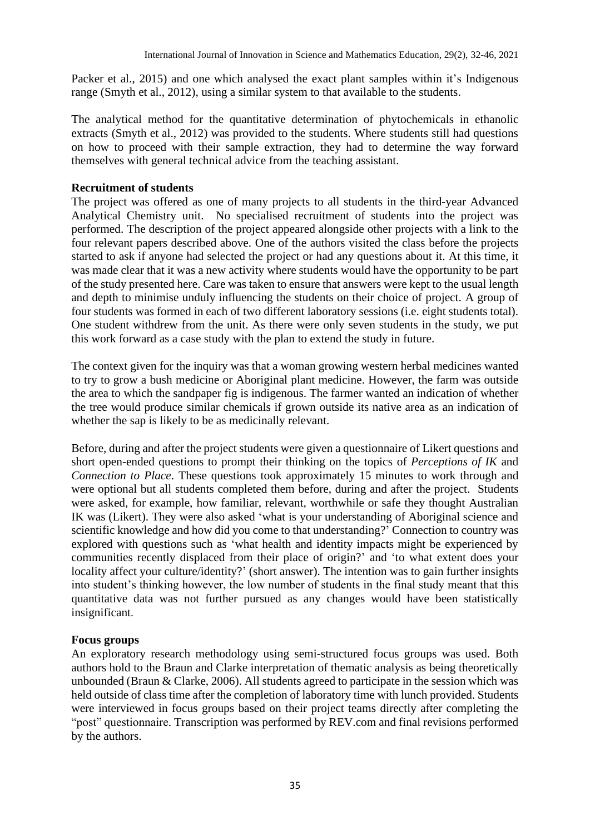Packer et al., 2015) and one which analysed the exact plant samples within it's Indigenous range (Smyth et al., 2012), using a similar system to that available to the students.

The analytical method for the quantitative determination of phytochemicals in ethanolic extracts (Smyth et al., 2012) was provided to the students. Where students still had questions on how to proceed with their sample extraction, they had to determine the way forward themselves with general technical advice from the teaching assistant.

## **Recruitment of students**

The project was offered as one of many projects to all students in the third-year Advanced Analytical Chemistry unit. No specialised recruitment of students into the project was performed. The description of the project appeared alongside other projects with a link to the four relevant papers described above. One of the authors visited the class before the projects started to ask if anyone had selected the project or had any questions about it. At this time, it was made clear that it was a new activity where students would have the opportunity to be part of the study presented here. Care was taken to ensure that answers were kept to the usual length and depth to minimise unduly influencing the students on their choice of project. A group of four students was formed in each of two different laboratory sessions (i.e. eight students total). One student withdrew from the unit. As there were only seven students in the study, we put this work forward as a case study with the plan to extend the study in future.

The context given for the inquiry was that a woman growing western herbal medicines wanted to try to grow a bush medicine or Aboriginal plant medicine. However, the farm was outside the area to which the sandpaper fig is indigenous. The farmer wanted an indication of whether the tree would produce similar chemicals if grown outside its native area as an indication of whether the sap is likely to be as medicinally relevant.

Before, during and after the project students were given a questionnaire of Likert questions and short open-ended questions to prompt their thinking on the topics of *Perceptions of IK* and *Connection to Place*. These questions took approximately 15 minutes to work through and were optional but all students completed them before, during and after the project. Students were asked, for example, how familiar, relevant, worthwhile or safe they thought Australian IK was (Likert). They were also asked 'what is your understanding of Aboriginal science and scientific knowledge and how did you come to that understanding?' Connection to country was explored with questions such as 'what health and identity impacts might be experienced by communities recently displaced from their place of origin?' and 'to what extent does your locality affect your culture/identity?' (short answer). The intention was to gain further insights into student's thinking however, the low number of students in the final study meant that this quantitative data was not further pursued as any changes would have been statistically insignificant.

## **Focus groups**

An exploratory research methodology using semi-structured focus groups was used. Both authors hold to the Braun and Clarke interpretation of thematic analysis as being theoretically unbounded (Braun & Clarke, 2006). All students agreed to participate in the session which was held outside of class time after the completion of laboratory time with lunch provided. Students were interviewed in focus groups based on their project teams directly after completing the "post" questionnaire. Transcription was performed by REV.com and final revisions performed by the authors.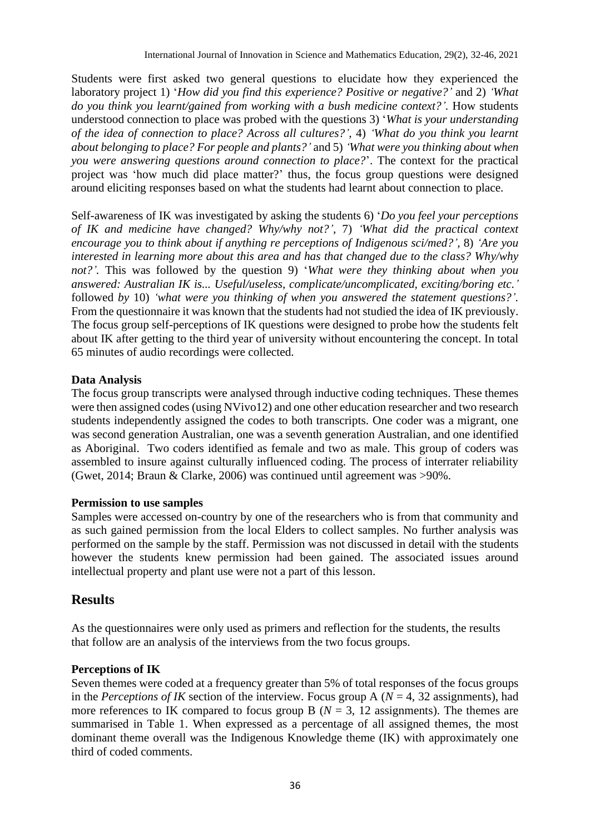Students were first asked two general questions to elucidate how they experienced the laboratory project 1) '*How did you find this experience? Positive or negative?'* and 2) *'What do you think you learnt/gained from working with a bush medicine context?'.* How students understood connection to place was probed with the questions 3) '*What is your understanding of the idea of connection to place? Across all cultures?',* 4) *'What do you think you learnt about belonging to place? For people and plants?'* and 5) *'What were you thinking about when you were answering questions around connection to place?*'. The context for the practical project was 'how much did place matter?' thus, the focus group questions were designed around eliciting responses based on what the students had learnt about connection to place.

Self-awareness of IK was investigated by asking the students 6) '*Do you feel your perceptions of IK and medicine have changed? Why/why not?',* 7) *'What did the practical context encourage you to think about if anything re perceptions of Indigenous sci/med?',* 8) *'Are you interested in learning more about this area and has that changed due to the class? Why/why not?'.* This was followed by the question 9) '*What were they thinking about when you answered: Australian IK is... Useful/useless, complicate/uncomplicated, exciting/boring etc.'* followed *by* 10) *'what were you thinking of when you answered the statement questions?'.* From the questionnaire it was known that the students had not studied the idea of IK previously. The focus group self-perceptions of IK questions were designed to probe how the students felt about IK after getting to the third year of university without encountering the concept. In total 65 minutes of audio recordings were collected.

## **Data Analysis**

The focus group transcripts were analysed through inductive coding techniques. These themes were then assigned codes (using NVivo12) and one other education researcher and two research students independently assigned the codes to both transcripts. One coder was a migrant, one was second generation Australian, one was a seventh generation Australian, and one identified as Aboriginal. Two coders identified as female and two as male. This group of coders was assembled to insure against culturally influenced coding. The process of interrater reliability (Gwet, 2014; Braun & Clarke, 2006) was continued until agreement was >90%.

#### **Permission to use samples**

Samples were accessed on-country by one of the researchers who is from that community and as such gained permission from the local Elders to collect samples. No further analysis was performed on the sample by the staff. Permission was not discussed in detail with the students however the students knew permission had been gained. The associated issues around intellectual property and plant use were not a part of this lesson.

# **Results**

As the questionnaires were only used as primers and reflection for the students, the results that follow are an analysis of the interviews from the two focus groups.

## **Perceptions of IK**

Seven themes were coded at a frequency greater than 5% of total responses of the focus groups in the *Perceptions of IK* section of the interview. Focus group A ( $N = 4$ , 32 assignments), had more references to IK compared to focus group B ( $N = 3$ , 12 assignments). The themes are summarised in Table 1. When expressed as a percentage of all assigned themes, the most dominant theme overall was the Indigenous Knowledge theme (IK) with approximately one third of coded comments.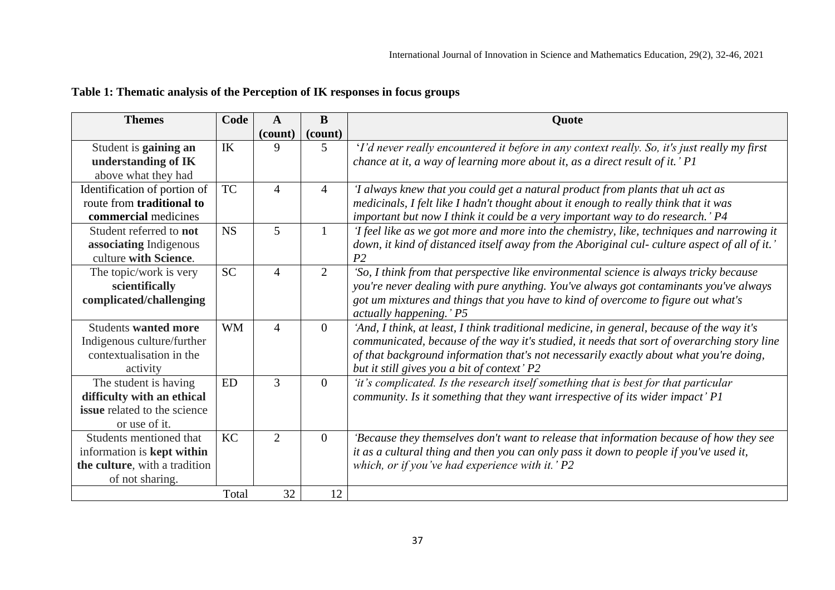|  |  | Table 1: Thematic analysis of the Perception of IK responses in focus groups |  |
|--|--|------------------------------------------------------------------------------|--|
|  |  |                                                                              |  |

| <b>Themes</b>                       | Code      | $\mathbf{A}$   | B              | Quote                                                                                         |
|-------------------------------------|-----------|----------------|----------------|-----------------------------------------------------------------------------------------------|
|                                     |           | (count)        | (count)        |                                                                                               |
| Student is gaining an               | IK        | 9              | $5^{\circ}$    | 'I'd never really encountered it before in any context really. So, it's just really my first  |
| understanding of IK                 |           |                |                | chance at it, a way of learning more about it, as a direct result of it.' P1                  |
| above what they had                 |           |                |                |                                                                                               |
| Identification of portion of        | <b>TC</b> | $\overline{4}$ | $\overline{4}$ | 'I always knew that you could get a natural product from plants that uh act as                |
| route from traditional to           |           |                |                | medicinals, I felt like I hadn't thought about it enough to really think that it was          |
| commercial medicines                |           |                |                | important but now I think it could be a very important way to do research.' P4                |
| Student referred to not             | <b>NS</b> | $\overline{5}$ | $\mathbf{1}$   | 'I feel like as we got more and more into the chemistry, like, techniques and narrowing it    |
| associating Indigenous              |           |                |                | down, it kind of distanced itself away from the Aboriginal cul- culture aspect of all of it.' |
| culture with Science.               |           |                |                | P <sub>2</sub>                                                                                |
| The topic/work is very              | <b>SC</b> | $\overline{4}$ | 2              | 'So, I think from that perspective like environmental science is always tricky because        |
| scientifically                      |           |                |                | you're never dealing with pure anything. You've always got contaminants you've always         |
| complicated/challenging             |           |                |                | got um mixtures and things that you have to kind of overcome to figure out what's             |
|                                     |           |                |                | actually happening.' P5                                                                       |
| <b>Students wanted more</b>         | <b>WM</b> | $\overline{4}$ | $\overline{0}$ | 'And, I think, at least, I think traditional medicine, in general, because of the way it's    |
| Indigenous culture/further          |           |                |                | communicated, because of the way it's studied, it needs that sort of overarching story line   |
| contextualisation in the            |           |                |                | of that background information that's not necessarily exactly about what you're doing,        |
| activity                            |           |                |                | but it still gives you a bit of context' P2                                                   |
| The student is having               | ED        | 3              | $\overline{0}$ | 'it's complicated. Is the research itself something that is best for that particular          |
| difficulty with an ethical          |           |                |                | community. Is it something that they want irrespective of its wider impact' P1                |
| <b>issue</b> related to the science |           |                |                |                                                                                               |
| or use of it.                       |           |                |                |                                                                                               |
| Students mentioned that             | <b>KC</b> | $\overline{2}$ | $\overline{0}$ | 'Because they themselves don't want to release that information because of how they see       |
| information is <b>kept within</b>   |           |                |                | it as a cultural thing and then you can only pass it down to people if you've used it,        |
| the culture, with a tradition       |           |                |                | which, or if you've had experience with it.' $P2$                                             |
| of not sharing.                     |           |                |                |                                                                                               |
|                                     | Total     | 32             | 12             |                                                                                               |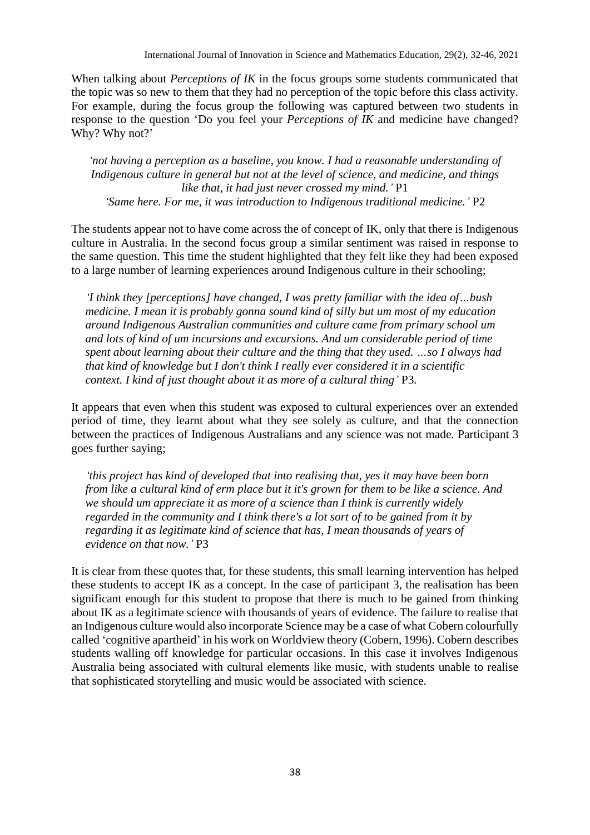When talking about *Perceptions of IK* in the focus groups some students communicated that the topic was so new to them that they had no perception of the topic before this class activity. For example, during the focus group the following was captured between two students in response to the question 'Do you feel your *Perceptions of IK* and medicine have changed? Why? Why not?'

*'not having a perception as a baseline, you know. I had a reasonable understanding of Indigenous culture in general but not at the level of science, and medicine, and things like that, it had just never crossed my mind.'* P1 *'Same here. For me, it was introduction to Indigenous traditional medicine.'* P2

The students appear not to have come across the of concept of IK, only that there is Indigenous culture in Australia. In the second focus group a similar sentiment was raised in response to the same question. This time the student highlighted that they felt like they had been exposed to a large number of learning experiences around Indigenous culture in their schooling;

*'I think they [perceptions] have changed, I was pretty familiar with the idea of…bush medicine. I mean it is probably gonna sound kind of silly but um most of my education around Indigenous Australian communities and culture came from primary school um and lots of kind of um incursions and excursions. And um considerable period of time spent about learning about their culture and the thing that they used. …so I always had that kind of knowledge but I don't think I really ever considered it in a scientific context. I kind of just thought about it as more of a cultural thing'* P3*.*

It appears that even when this student was exposed to cultural experiences over an extended period of time, they learnt about what they see solely as culture, and that the connection between the practices of Indigenous Australians and any science was not made. Participant 3 goes further saying;

*'this project has kind of developed that into realising that, yes it may have been born from like a cultural kind of erm place but it it's grown for them to be like a science. And we should um appreciate it as more of a science than I think is currently widely regarded in the community and I think there's a lot sort of to be gained from it by regarding it as legitimate kind of science that has, I mean thousands of years of evidence on that now.'* P3

It is clear from these quotes that, for these students, this small learning intervention has helped these students to accept IK as a concept. In the case of participant 3, the realisation has been significant enough for this student to propose that there is much to be gained from thinking about IK as a legitimate science with thousands of years of evidence. The failure to realise that an Indigenous culture would also incorporate Science may be a case of what Cobern colourfully called 'cognitive apartheid' in his work on Worldview theory (Cobern, 1996). Cobern describes students walling off knowledge for particular occasions. In this case it involves Indigenous Australia being associated with cultural elements like music, with students unable to realise that sophisticated storytelling and music would be associated with science.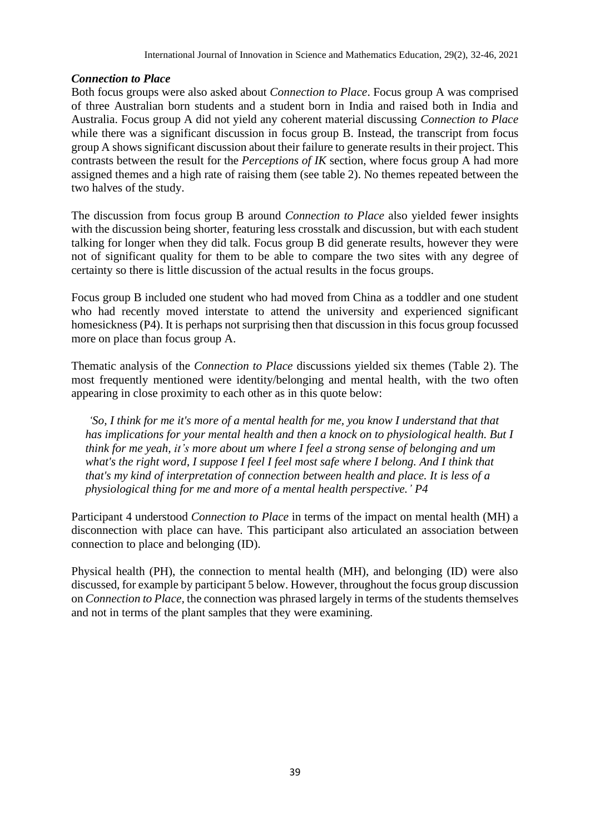#### *Connection to Place*

Both focus groups were also asked about *Connection to Place*. Focus group A was comprised of three Australian born students and a student born in India and raised both in India and Australia. Focus group A did not yield any coherent material discussing *Connection to Place* while there was a significant discussion in focus group B. Instead, the transcript from focus group A shows significant discussion about their failure to generate results in their project. This contrasts between the result for the *Perceptions of IK* section, where focus group A had more assigned themes and a high rate of raising them (see table 2). No themes repeated between the two halves of the study.

The discussion from focus group B around *Connection to Place* also yielded fewer insights with the discussion being shorter, featuring less crosstalk and discussion, but with each student talking for longer when they did talk. Focus group B did generate results, however they were not of significant quality for them to be able to compare the two sites with any degree of certainty so there is little discussion of the actual results in the focus groups.

Focus group B included one student who had moved from China as a toddler and one student who had recently moved interstate to attend the university and experienced significant homesickness (P4). It is perhaps not surprising then that discussion in this focus group focussed more on place than focus group A.

Thematic analysis of the *Connection to Place* discussions yielded six themes (Table 2). The most frequently mentioned were identity/belonging and mental health, with the two often appearing in close proximity to each other as in this quote below:

*'So, I think for me it's more of a mental health for me, you know I understand that that has implications for your mental health and then a knock on to physiological health. But I think for me yeah, it's more about um where I feel a strong sense of belonging and um*  what's the right word, I suppose I feel I feel most safe where I belong. And I think that *that's my kind of interpretation of connection between health and place. It is less of a physiological thing for me and more of a mental health perspective.' P4*

Participant 4 understood *Connection to Place* in terms of the impact on mental health (MH) a disconnection with place can have. This participant also articulated an association between connection to place and belonging (ID).

Physical health (PH), the connection to mental health (MH), and belonging (ID) were also discussed, for example by participant 5 below. However, throughout the focus group discussion on *Connection to Place,* the connection was phrased largely in terms of the students themselves and not in terms of the plant samples that they were examining.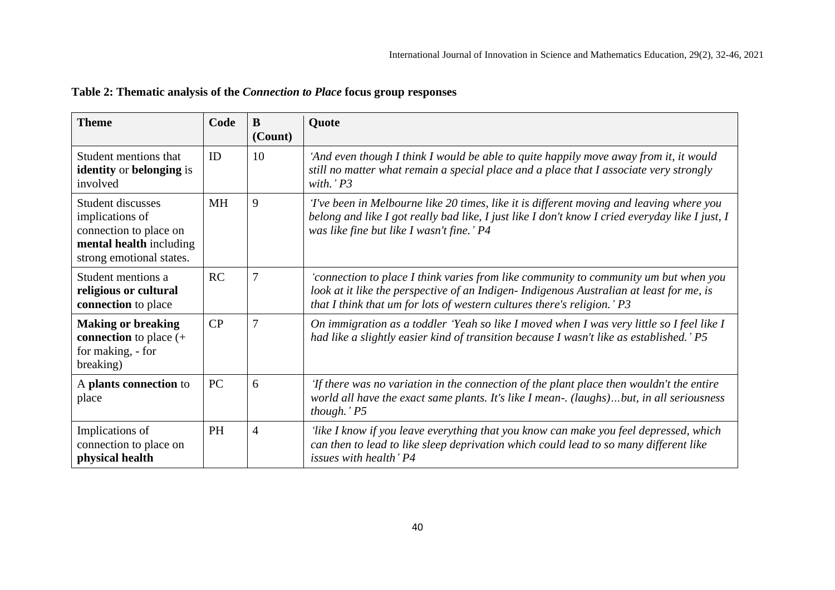| <b>Theme</b>                                                                                                          | Code      | B<br>(Count)   | Quote                                                                                                                                                                                                                                                        |  |
|-----------------------------------------------------------------------------------------------------------------------|-----------|----------------|--------------------------------------------------------------------------------------------------------------------------------------------------------------------------------------------------------------------------------------------------------------|--|
| Student mentions that<br><b>identity</b> or <b>belonging</b> is<br>involved                                           | ID        | 10             | 'And even though I think I would be able to quite happily move away from it, it would<br>still no matter what remain a special place and a place that I associate very strongly<br>with.' $P3$                                                               |  |
| Student discusses<br>implications of<br>connection to place on<br>mental health including<br>strong emotional states. | <b>MH</b> | 9              | 'I've been in Melbourne like 20 times, like it is different moving and leaving where you<br>belong and like I got really bad like, I just like I don't know I cried everyday like I just, I<br>was like fine but like I wasn't fine.' P4                     |  |
| Student mentions a<br>religious or cultural<br>connection to place                                                    | RC        | 7              | 'connection to place I think varies from like community to community um but when you<br>look at it like the perspective of an Indigen-Indigenous Australian at least for me, is<br>that I think that um for lots of western cultures there's religion.' $P3$ |  |
| <b>Making or breaking</b><br><b>connection</b> to place $(+)$<br>for making, - for<br>breaking)                       | CP        | $\overline{7}$ | On immigration as a toddler 'Yeah so like I moved when I was very little so I feel like I<br>had like a slightly easier kind of transition because I wasn't like as established.' P5                                                                         |  |
| A plants connection to<br>place                                                                                       | PC        | 6              | 'If there was no variation in the connection of the plant place then wouldn't the entire<br>world all have the exact same plants. It's like I mean-. (laughs)but, in all seriousness<br>though.' P5                                                          |  |
| Implications of<br>connection to place on<br>physical health                                                          | <b>PH</b> | 4              | 'like I know if you leave everything that you know can make you feel depressed, which<br>can then to lead to like sleep deprivation which could lead to so many different like<br>issues with health' P4                                                     |  |

## **Table 2: Thematic analysis of the** *Connection to Place* **focus group responses**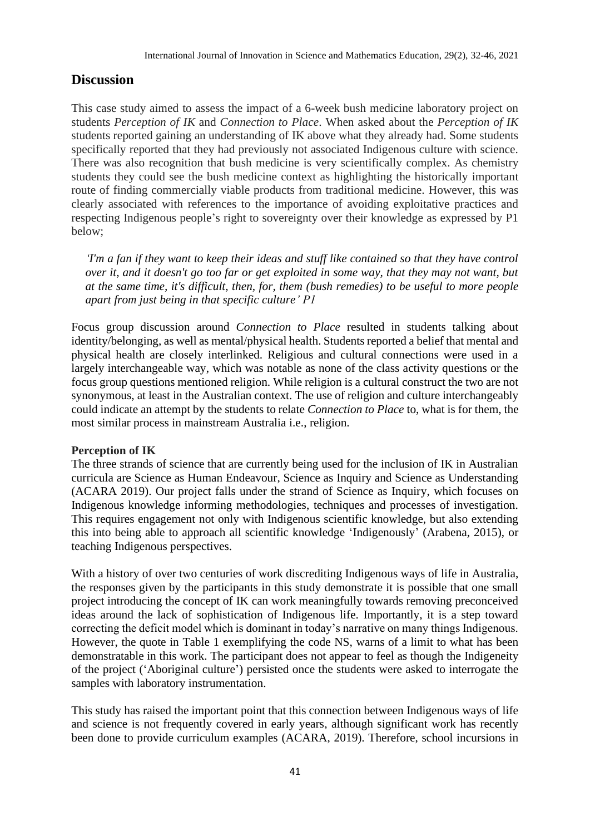## **Discussion**

This case study aimed to assess the impact of a 6-week bush medicine laboratory project on students *Perception of IK* and *Connection to Place*. When asked about the *Perception of IK* students reported gaining an understanding of IK above what they already had. Some students specifically reported that they had previously not associated Indigenous culture with science. There was also recognition that bush medicine is very scientifically complex. As chemistry students they could see the bush medicine context as highlighting the historically important route of finding commercially viable products from traditional medicine. However, this was clearly associated with references to the importance of avoiding exploitative practices and respecting Indigenous people's right to sovereignty over their knowledge as expressed by P1 below;

*'I'm a fan if they want to keep their ideas and stuff like contained so that they have control over it, and it doesn't go too far or get exploited in some way, that they may not want, but at the same time, it's difficult, then, for, them (bush remedies) to be useful to more people apart from just being in that specific culture' P1*

Focus group discussion around *Connection to Place* resulted in students talking about identity/belonging, as well as mental/physical health. Students reported a belief that mental and physical health are closely interlinked. Religious and cultural connections were used in a largely interchangeable way, which was notable as none of the class activity questions or the focus group questions mentioned religion. While religion is a cultural construct the two are not synonymous, at least in the Australian context. The use of religion and culture interchangeably could indicate an attempt by the students to relate *Connection to Place* to, what is for them, the most similar process in mainstream Australia i.e., religion.

#### **Perception of IK**

The three strands of science that are currently being used for the inclusion of IK in Australian curricula are Science as Human Endeavour, Science as Inquiry and Science as Understanding (ACARA 2019). Our project falls under the strand of Science as Inquiry, which focuses on Indigenous knowledge informing methodologies, techniques and processes of investigation. This requires engagement not only with Indigenous scientific knowledge, but also extending this into being able to approach all scientific knowledge 'Indigenously' (Arabena, 2015), or teaching Indigenous perspectives.

With a history of over two centuries of work discrediting Indigenous ways of life in Australia, the responses given by the participants in this study demonstrate it is possible that one small project introducing the concept of IK can work meaningfully towards removing preconceived ideas around the lack of sophistication of Indigenous life. Importantly, it is a step toward correcting the deficit model which is dominant in today's narrative on many things Indigenous. However, the quote in Table 1 exemplifying the code NS, warns of a limit to what has been demonstratable in this work. The participant does not appear to feel as though the Indigeneity of the project ('Aboriginal culture') persisted once the students were asked to interrogate the samples with laboratory instrumentation.

This study has raised the important point that this connection between Indigenous ways of life and science is not frequently covered in early years, although significant work has recently been done to provide curriculum examples (ACARA, 2019). Therefore, school incursions in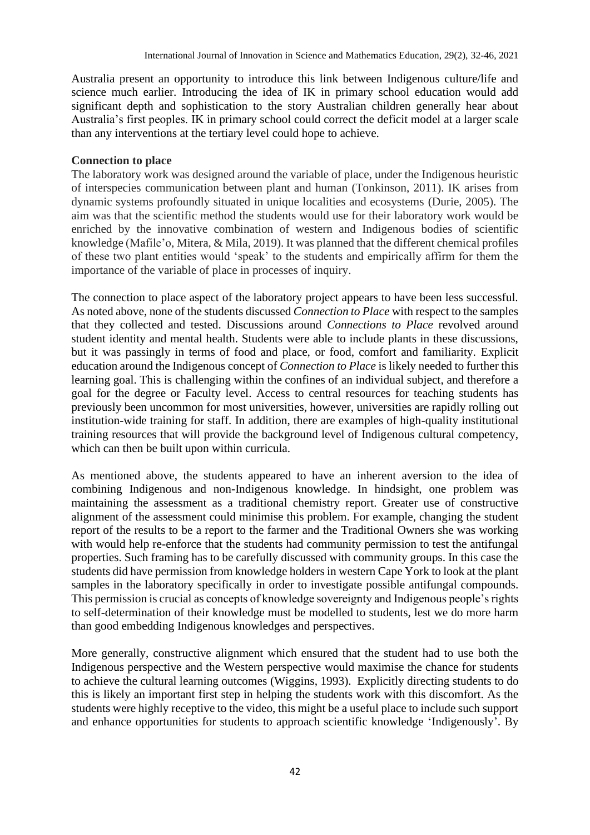Australia present an opportunity to introduce this link between Indigenous culture/life and science much earlier. Introducing the idea of IK in primary school education would add significant depth and sophistication to the story Australian children generally hear about Australia's first peoples. IK in primary school could correct the deficit model at a larger scale than any interventions at the tertiary level could hope to achieve.

#### **Connection to place**

The laboratory work was designed around the variable of place, under the Indigenous heuristic of interspecies communication between plant and human (Tonkinson, 2011). IK arises from dynamic systems profoundly situated in unique localities and ecosystems (Durie, 2005). The aim was that the scientific method the students would use for their laboratory work would be enriched by the innovative combination of western and Indigenous bodies of scientific knowledge (Mafile'o, Mitera, & Mila, 2019). It was planned that the different chemical profiles of these two plant entities would 'speak' to the students and empirically affirm for them the importance of the variable of place in processes of inquiry.

The connection to place aspect of the laboratory project appears to have been less successful. As noted above, none of the students discussed *Connection to Place* with respect to the samples that they collected and tested. Discussions around *Connections to Place* revolved around student identity and mental health. Students were able to include plants in these discussions, but it was passingly in terms of food and place, or food, comfort and familiarity. Explicit education around the Indigenous concept of *Connection to Place* is likely needed to further this learning goal. This is challenging within the confines of an individual subject, and therefore a goal for the degree or Faculty level. Access to central resources for teaching students has previously been uncommon for most universities, however, universities are rapidly rolling out institution-wide training for staff. In addition, there are examples of high-quality institutional training resources that will provide the background level of Indigenous cultural competency, which can then be built upon within curricula.

As mentioned above, the students appeared to have an inherent aversion to the idea of combining Indigenous and non-Indigenous knowledge. In hindsight, one problem was maintaining the assessment as a traditional chemistry report. Greater use of constructive alignment of the assessment could minimise this problem. For example, changing the student report of the results to be a report to the farmer and the Traditional Owners she was working with would help re-enforce that the students had community permission to test the antifungal properties. Such framing has to be carefully discussed with community groups. In this case the students did have permission from knowledge holders in western Cape York to look at the plant samples in the laboratory specifically in order to investigate possible antifungal compounds. This permission is crucial as concepts of knowledge sovereignty and Indigenous people's rights to self-determination of their knowledge must be modelled to students, lest we do more harm than good embedding Indigenous knowledges and perspectives.

More generally, constructive alignment which ensured that the student had to use both the Indigenous perspective and the Western perspective would maximise the chance for students to achieve the cultural learning outcomes (Wiggins, 1993). Explicitly directing students to do this is likely an important first step in helping the students work with this discomfort. As the students were highly receptive to the video, this might be a useful place to include such support and enhance opportunities for students to approach scientific knowledge 'Indigenously'. By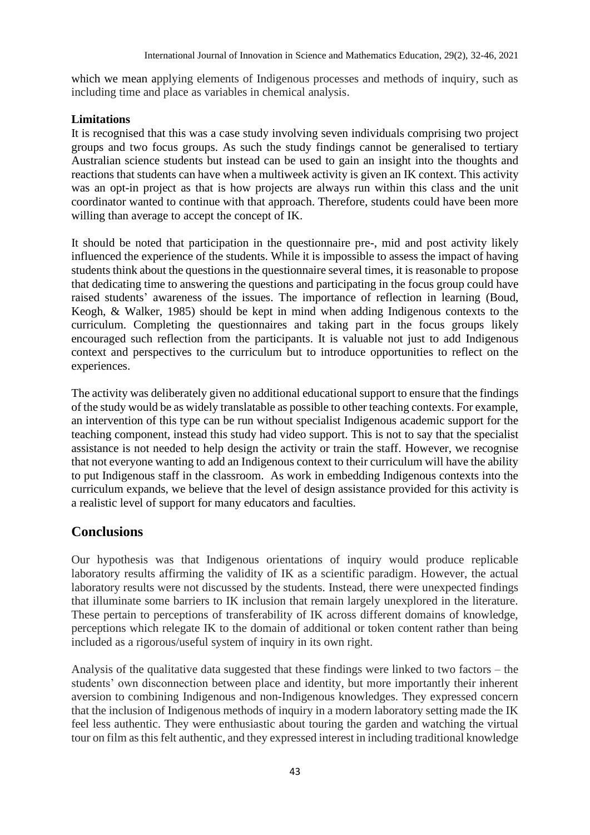which we mean applying elements of Indigenous processes and methods of inquiry, such as including time and place as variables in chemical analysis.

#### **Limitations**

It is recognised that this was a case study involving seven individuals comprising two project groups and two focus groups. As such the study findings cannot be generalised to tertiary Australian science students but instead can be used to gain an insight into the thoughts and reactions that students can have when a multiweek activity is given an IK context. This activity was an opt-in project as that is how projects are always run within this class and the unit coordinator wanted to continue with that approach. Therefore, students could have been more willing than average to accept the concept of IK.

It should be noted that participation in the questionnaire pre-, mid and post activity likely influenced the experience of the students. While it is impossible to assess the impact of having students think about the questions in the questionnaire several times, it is reasonable to propose that dedicating time to answering the questions and participating in the focus group could have raised students' awareness of the issues. The importance of reflection in learning (Boud, Keogh, & Walker, 1985) should be kept in mind when adding Indigenous contexts to the curriculum. Completing the questionnaires and taking part in the focus groups likely encouraged such reflection from the participants. It is valuable not just to add Indigenous context and perspectives to the curriculum but to introduce opportunities to reflect on the experiences.

The activity was deliberately given no additional educational support to ensure that the findings of the study would be as widely translatable as possible to other teaching contexts. For example, an intervention of this type can be run without specialist Indigenous academic support for the teaching component, instead this study had video support. This is not to say that the specialist assistance is not needed to help design the activity or train the staff. However, we recognise that not everyone wanting to add an Indigenous context to their curriculum will have the ability to put Indigenous staff in the classroom. As work in embedding Indigenous contexts into the curriculum expands, we believe that the level of design assistance provided for this activity is a realistic level of support for many educators and faculties.

#### **Conclusions**

Our hypothesis was that Indigenous orientations of inquiry would produce replicable laboratory results affirming the validity of IK as a scientific paradigm. However, the actual laboratory results were not discussed by the students. Instead, there were unexpected findings that illuminate some barriers to IK inclusion that remain largely unexplored in the literature. These pertain to perceptions of transferability of IK across different domains of knowledge, perceptions which relegate IK to the domain of additional or token content rather than being included as a rigorous/useful system of inquiry in its own right.

Analysis of the qualitative data suggested that these findings were linked to two factors – the students' own disconnection between place and identity, but more importantly their inherent aversion to combining Indigenous and non-Indigenous knowledges. They expressed concern that the inclusion of Indigenous methods of inquiry in a modern laboratory setting made the IK feel less authentic. They were enthusiastic about touring the garden and watching the virtual tour on film as this felt authentic, and they expressed interest in including traditional knowledge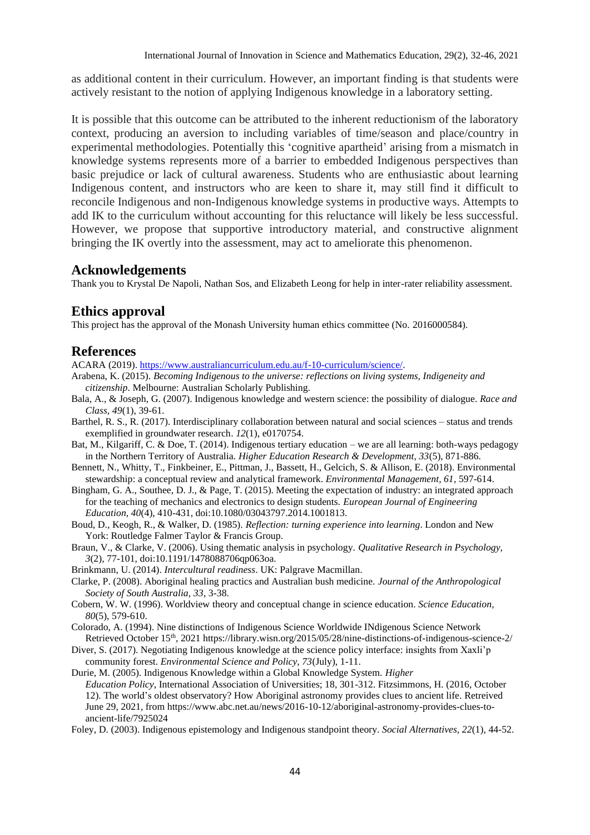as additional content in their curriculum. However, an important finding is that students were actively resistant to the notion of applying Indigenous knowledge in a laboratory setting.

It is possible that this outcome can be attributed to the inherent reductionism of the laboratory context, producing an aversion to including variables of time/season and place/country in experimental methodologies. Potentially this 'cognitive apartheid' arising from a mismatch in knowledge systems represents more of a barrier to embedded Indigenous perspectives than basic prejudice or lack of cultural awareness. Students who are enthusiastic about learning Indigenous content, and instructors who are keen to share it, may still find it difficult to reconcile Indigenous and non-Indigenous knowledge systems in productive ways. Attempts to add IK to the curriculum without accounting for this reluctance will likely be less successful. However, we propose that supportive introductory material, and constructive alignment bringing the IK overtly into the assessment, may act to ameliorate this phenomenon.

#### **Acknowledgements**

Thank you to Krystal De Napoli, Nathan Sos, and Elizabeth Leong for help in inter-rater reliability assessment.

#### **Ethics approval**

This project has the approval of the Monash University human ethics committee (No. 2016000584).

#### **References**

ACARA (2019). [https://www.australiancurriculum.edu.au/f-10-curriculum/science/.](https://www.australiancurriculum.edu.au/f-10-curriculum/science/)

- Arabena, K. (2015). *Becoming Indigenous to the universe: reflections on living systems, Indigeneity and citizenship*. Melbourne: Australian Scholarly Publishing.
- Bala, A., & Joseph, G. (2007). Indigenous knowledge and western science: the possibility of dialogue. *Race and Class, 49*(1), 39-61.
- Barthel, R. S., R. (2017). Interdisciplinary collaboration between natural and social sciences status and trends exemplified in groundwater research. *12*(1), e0170754.
- Bat, M., Kilgariff, C. & Doe, T. (2014). Indigenous tertiary education we are all learning: both-ways pedagogy in the Northern Territory of Australia. *Higher Education Research & Development, 33*(5), 871-886.
- Bennett, N., Whitty, T., Finkbeiner, E., Pittman, J., Bassett, H., Gelcich, S. & Allison, E. (2018). Environmental stewardship: a conceptual review and analytical framework. *Environmental Management, 61*, 597-614.
- Bingham, G. A., Southee, D. J., & Page, T. (2015). Meeting the expectation of industry: an integrated approach for the teaching of mechanics and electronics to design students. *European Journal of Engineering Education, 40*(4), 410-431, doi:10.1080/03043797.2014.1001813.
- Boud, D., Keogh, R., & Walker, D. (1985). *Reflection: turning experience into learning*. London and New York: Routledge Falmer Taylor & Francis Group.
- Braun, V., & Clarke, V. (2006). Using thematic analysis in psychology. *Qualitative Research in Psychology, 3*(2), 77-101, doi:10.1191/1478088706qp063oa.
- Brinkmann, U. (2014). *Intercultural readiness*. UK: Palgrave Macmillan.
- Clarke, P. (2008). Aboriginal healing practics and Australian bush medicine. *Journal of the Anthropological Society of South Australia, 33*, 3-38.
- Cobern, W. W. (1996). Worldview theory and conceptual change in science education. *Science Education, 80*(5), 579-610.
- Colorado, A. (1994). Nine distinctions of Indigenous Science Worldwide INdigenous Science Network Retrieved October 15<sup>th</sup>, 2021 https://library.wisn.org/2015/05/28/nine-distinctions-of-indigenous-science-2/
- Diver, S. (2017). Negotiating Indigenous knowledge at the science policy interface: insights from Xaxli'p community forest. *Environmental Science and Policy, 73*(July), 1-11.
- Durie, M. (2005). Indigenous Knowledge within a Global Knowledge System. *Higher Education Policy*, International Association of Universities; 18, 301-312. Fitzsimmons, H. (2016, October 12). The world's oldest observatory? How Aboriginal astronomy provides clues to ancient life. Retreived June 29, 2021, from https://www.abc.net.au/news/2016-10-12/aboriginal-astronomy-provides-clues-toancient-life/7925024

Foley, D. (2003). Indigenous epistemology and Indigenous standpoint theory. *Social Alternatives, 22*(1), 44-52.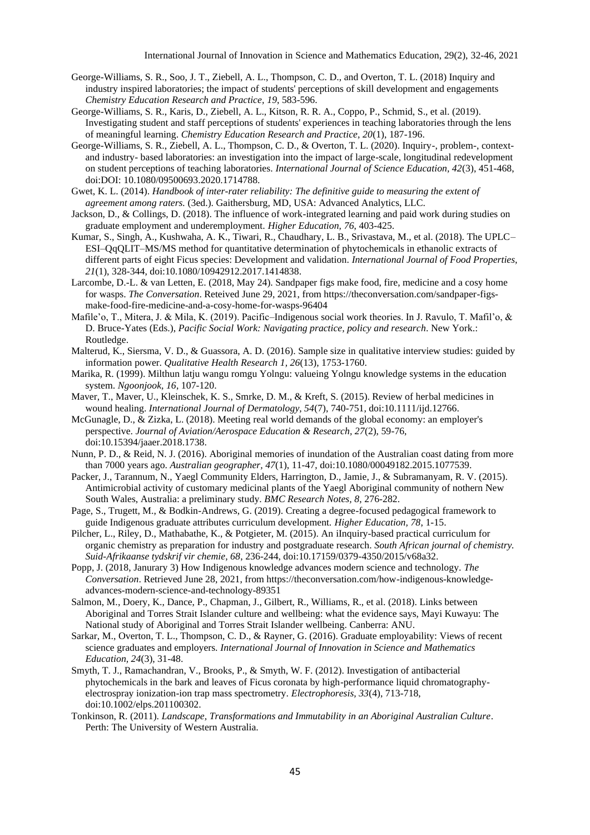- George-Williams, S. R., Soo, J. T., Ziebell, A. L., Thompson, C. D., and Overton, T. L. (2018) Inquiry and industry inspired laboratories; the impact of students' perceptions of skill development and engagements *Chemistry Education Research and Practice, 19*, 583-596.
- George-Williams, S. R., Karis, D., Ziebell, A. L., Kitson, R. R. A., Coppo, P., Schmid, S., et al. (2019). Investigating student and staff perceptions of students' experiences in teaching laboratories through the lens of meaningful learning. *Chemistry Education Research and Practice, 20*(1), 187-196.
- George-Williams, S. R., Ziebell, A. L., Thompson, C. D., & Overton, T. L. (2020). Inquiry-, problem-, contextand industry- based laboratories: an investigation into the impact of large-scale, longitudinal redevelopment on student perceptions of teaching laboratories. *International Journal of Science Education, 42*(3), 451-468, doi:DOI: 10.1080/09500693.2020.1714788.
- Gwet, K. L. (2014). *Handbook of inter-rater reliability: The definitive guide to measuring the extent of agreement among raters.* (3ed.). Gaithersburg, MD, USA: Advanced Analytics, LLC.
- Jackson, D., & Collings, D. (2018). The influence of work-integrated learning and paid work during studies on graduate employment and underemployment. *Higher Education, 76*, 403-425.
- Kumar, S., Singh, A., Kushwaha, A. K., Tiwari, R., Chaudhary, L. B., Srivastava, M., et al. (2018). The UPLC– ESI–QqQLIT–MS/MS method for quantitative determination of phytochemicals in ethanolic extracts of different parts of eight Ficus species: Development and validation. *International Journal of Food Properties, 21*(1), 328-344, doi:10.1080/10942912.2017.1414838.
- Larcombe, D.-L. & van Letten, E. (2018, May 24). Sandpaper figs make food, fire, medicine and a cosy home for wasps. *The Conversation*. Reteived June 29, 2021, from https://theconversation.com/sandpaper-figsmake-food-fire-medicine-and-a-cosy-home-for-wasps-96404
- Mafile'o, T., Mitera, J. & Mila, K. (2019). Pacific–Indigenous social work theories. In J. Ravulo, T. Mafil'o, & D. Bruce-Yates (Eds.), *Pacific Social Work: Navigating practice, policy and research*. New York.: Routledge.
- Malterud, K., Siersma, V. D., & Guassora, A. D. (2016). Sample size in qualitative interview studies: guided by information power. *Qualitative Health Research 1, 26*(13), 1753-1760.
- Marika, R. (1999). Milthun latju wangu romgu Yolngu: valueing Yolngu knowledge systems in the education system. *Ngoonjook, 16*, 107-120.
- Maver, T., Maver, U., Kleinschek, K. S., Smrke, D. M., & Kreft, S. (2015). Review of herbal medicines in wound healing. *International Journal of Dermatology, 54*(7), 740-751, doi:10.1111/ijd.12766.
- McGunagle, D., & Zizka, L. (2018). Meeting real world demands of the global economy: an employer's perspective. *Journal of Aviation/Aerospace Education & Research, 27*(2), 59-76, doi:10.15394/jaaer.2018.1738.
- Nunn, P. D., & Reid, N. J. (2016). Aboriginal memories of inundation of the Australian coast dating from more than 7000 years ago. *Australian geographer, 47*(1), 11-47, doi:10.1080/00049182.2015.1077539.
- Packer, J., Tarannum, N., Yaegl Community Elders, Harrington, D., Jamie, J., & Subramanyam, R. V. (2015). Antimicrobial activity of customary medicinal plants of the Yaegl Aboriginal community of nothern New South Wales, Australia: a preliminary study. *BMC Research Notes, 8*, 276-282.
- Page, S., Trugett, M., & Bodkin-Andrews, G. (2019). Creating a degree-focused pedagogical framework to guide Indigenous graduate attributes curriculum development. *Higher Education, 78*, 1-15.
- Pilcher, L., Riley, D., Mathabathe, K., & Potgieter, M. (2015). An iInquiry-based practical curriculum for organic chemistry as preparation for industry and postgraduate research. *South African journal of chemistry. Suid-Afrikaanse tydskrif vir chemie, 68*, 236-244, doi:10.17159/0379-4350/2015/v68a32.
- Popp, J. (2018, Janurary 3) How Indigenous knowledge advances modern science and technology. *The Conversation*. Retrieved June 28, 2021, from https://theconversation.com/how-indigenous-knowledgeadvances-modern-science-and-technology-89351
- Salmon, M., Doery, K., Dance, P., Chapman, J., Gilbert, R., Williams, R., et al. (2018). Links between Aboriginal and Torres Strait Islander culture and wellbeing: what the evidence says, Mayi Kuwayu: The National study of Aboriginal and Torres Strait Islander wellbeing. Canberra: ANU.
- Sarkar, M., Overton, T. L., Thompson, C. D., & Rayner, G. (2016). Graduate employability: Views of recent science graduates and employers. *International Journal of Innovation in Science and Mathematics Education, 24*(3), 31-48.
- Smyth, T. J., Ramachandran, V., Brooks, P., & Smyth, W. F. (2012). Investigation of antibacterial phytochemicals in the bark and leaves of Ficus coronata by high-performance liquid chromatographyelectrospray ionization-ion trap mass spectrometry. *Electrophoresis, 33*(4), 713-718, doi:10.1002/elps.201100302.
- Tonkinson, R. (2011). *Landscape, Transformations and Immutability in an Aboriginal Australian Culture*. Perth: The University of Western Australia.